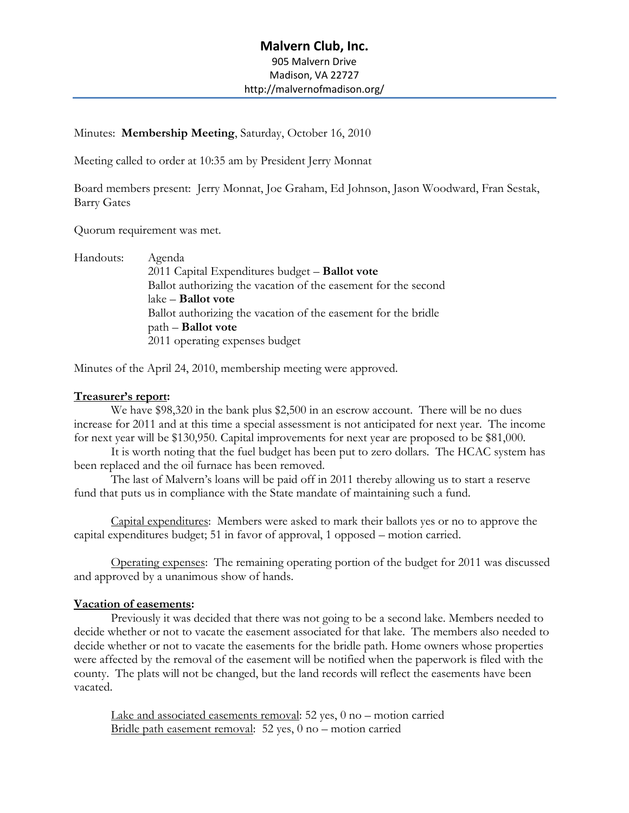Minutes: **Membership Meeting**, Saturday, October 16, 2010

Meeting called to order at 10:35 am by President Jerry Monnat

Board members present: Jerry Monnat, Joe Graham, Ed Johnson, Jason Woodward, Fran Sestak, Barry Gates

Quorum requirement was met.

| Handouts: | Agenda                                                         |
|-----------|----------------------------------------------------------------|
|           | 2011 Capital Expenditures budget - Ballot vote                 |
|           | Ballot authorizing the vacation of the easement for the second |
|           | $\rm lake - \bf Ballot\ vote$                                  |
|           | Ballot authorizing the vacation of the easement for the bridle |
|           | $path -$ <b>Ballot</b> vote                                    |
|           | 2011 operating expenses budget                                 |

Minutes of the April 24, 2010, membership meeting were approved.

# **Treasurer's report:**

We have \$98,320 in the bank plus \$2,500 in an escrow account. There will be no dues increase for 2011 and at this time a special assessment is not anticipated for next year. The income for next year will be \$130,950. Capital improvements for next year are proposed to be \$81,000.

It is worth noting that the fuel budget has been put to zero dollars. The HCAC system has been replaced and the oil furnace has been removed.

The last of Malvern's loans will be paid off in 2011 thereby allowing us to start a reserve fund that puts us in compliance with the State mandate of maintaining such a fund.

Capital expenditures: Members were asked to mark their ballots yes or no to approve the capital expenditures budget; 51 in favor of approval, 1 opposed – motion carried.

Operating expenses: The remaining operating portion of the budget for 2011 was discussed and approved by a unanimous show of hands.

# **Vacation of easements:**

Previously it was decided that there was not going to be a second lake. Members needed to decide whether or not to vacate the easement associated for that lake. The members also needed to decide whether or not to vacate the easements for the bridle path. Home owners whose properties were affected by the removal of the easement will be notified when the paperwork is filed with the county. The plats will not be changed, but the land records will reflect the easements have been vacated.

Lake and associated easements removal: 52 yes, 0 no – motion carried Bridle path easement removal: 52 yes, 0 no – motion carried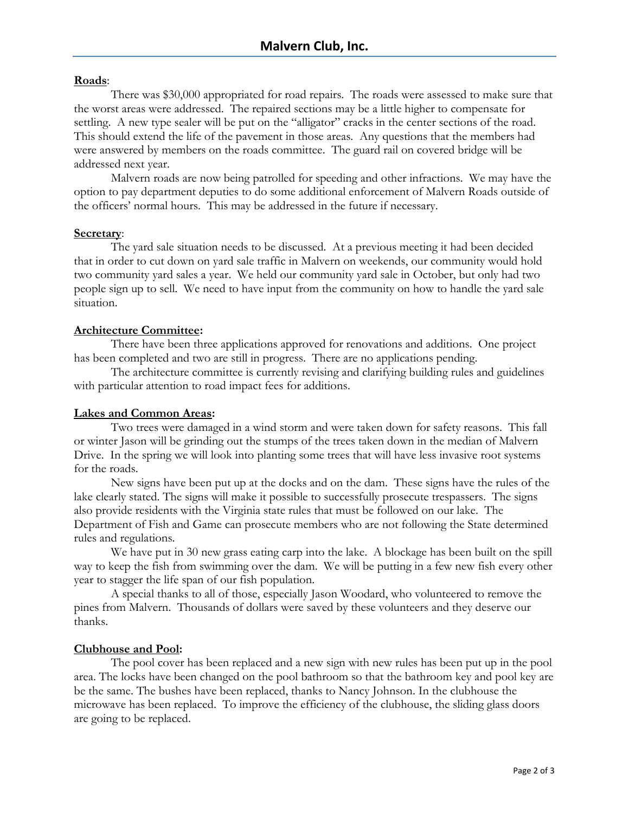### **Roads**:

There was \$30,000 appropriated for road repairs. The roads were assessed to make sure that the worst areas were addressed. The repaired sections may be a little higher to compensate for settling. A new type sealer will be put on the "alligator" cracks in the center sections of the road. This should extend the life of the pavement in those areas. Any questions that the members had were answered by members on the roads committee. The guard rail on covered bridge will be addressed next year.

Malvern roads are now being patrolled for speeding and other infractions. We may have the option to pay department deputies to do some additional enforcement of Malvern Roads outside of the officers' normal hours. This may be addressed in the future if necessary.

#### **Secretary**:

The yard sale situation needs to be discussed. At a previous meeting it had been decided that in order to cut down on yard sale traffic in Malvern on weekends, our community would hold two community yard sales a year. We held our community yard sale in October, but only had two people sign up to sell. We need to have input from the community on how to handle the yard sale situation.

### **Architecture Committee:**

There have been three applications approved for renovations and additions. One project has been completed and two are still in progress. There are no applications pending.

The architecture committee is currently revising and clarifying building rules and guidelines with particular attention to road impact fees for additions.

# **Lakes and Common Areas:**

Two trees were damaged in a wind storm and were taken down for safety reasons. This fall or winter Jason will be grinding out the stumps of the trees taken down in the median of Malvern Drive. In the spring we will look into planting some trees that will have less invasive root systems for the roads.

New signs have been put up at the docks and on the dam. These signs have the rules of the lake clearly stated. The signs will make it possible to successfully prosecute trespassers. The signs also provide residents with the Virginia state rules that must be followed on our lake. The Department of Fish and Game can prosecute members who are not following the State determined rules and regulations.

We have put in 30 new grass eating carp into the lake. A blockage has been built on the spill way to keep the fish from swimming over the dam. We will be putting in a few new fish every other year to stagger the life span of our fish population.

A special thanks to all of those, especially Jason Woodard, who volunteered to remove the pines from Malvern. Thousands of dollars were saved by these volunteers and they deserve our thanks.

#### **Clubhouse and Pool:**

The pool cover has been replaced and a new sign with new rules has been put up in the pool area. The locks have been changed on the pool bathroom so that the bathroom key and pool key are be the same. The bushes have been replaced, thanks to Nancy Johnson. In the clubhouse the microwave has been replaced. To improve the efficiency of the clubhouse, the sliding glass doors are going to be replaced.